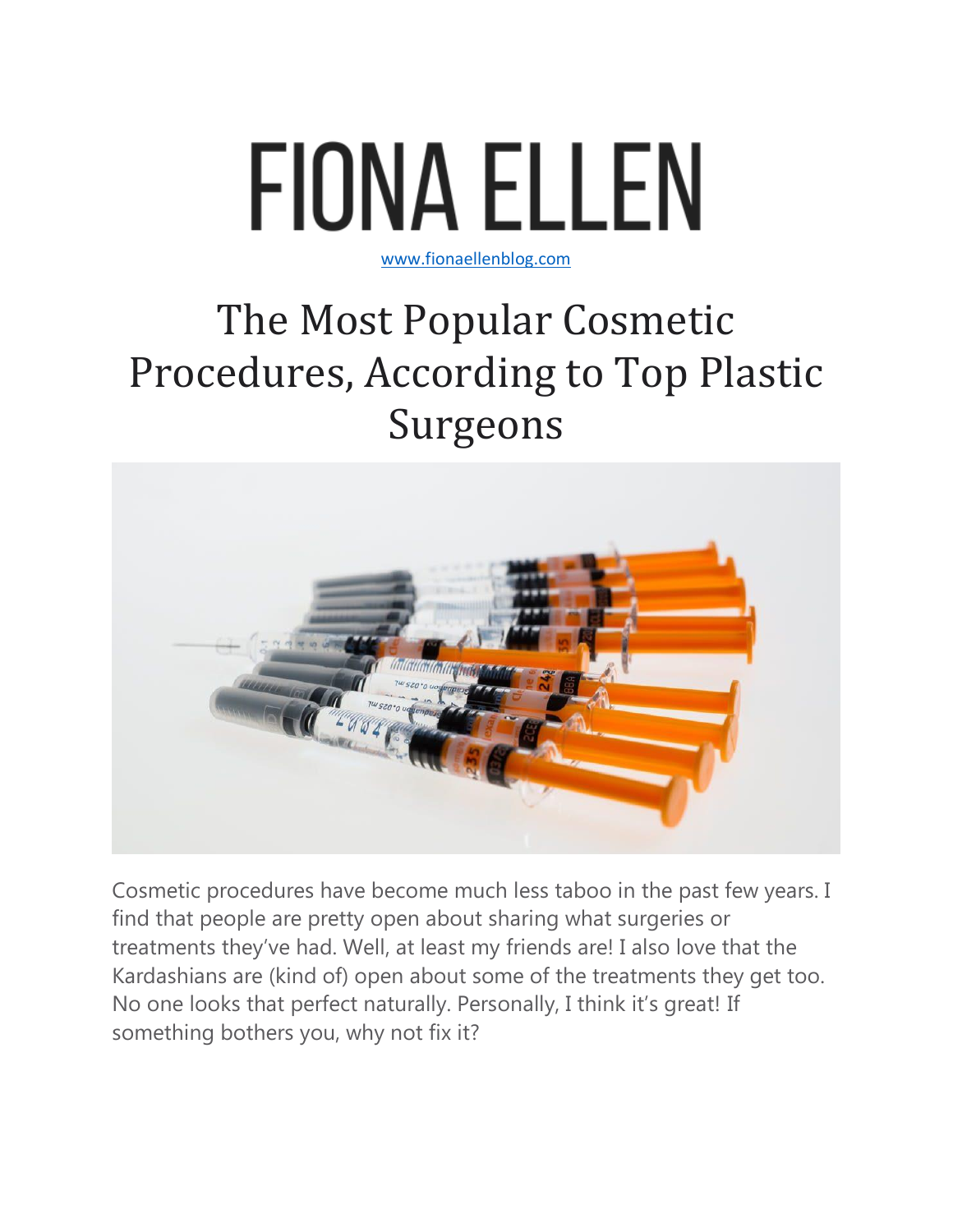

## [www.fionaellenblog.com](http://www.fionaellenblog.com/)

## The Most Popular Cosmetic Procedures, According to Top Plastic Surgeons



Cosmetic procedures have become much less taboo in the past few years. I find that people are pretty open about sharing what surgeries or treatments they've had. Well, at least my friends are! I also love that the Kardashians are (kind of) open about some of the treatments they get too. No one looks that perfect naturally. Personally, I think it's great! If something bothers you, why not fix it?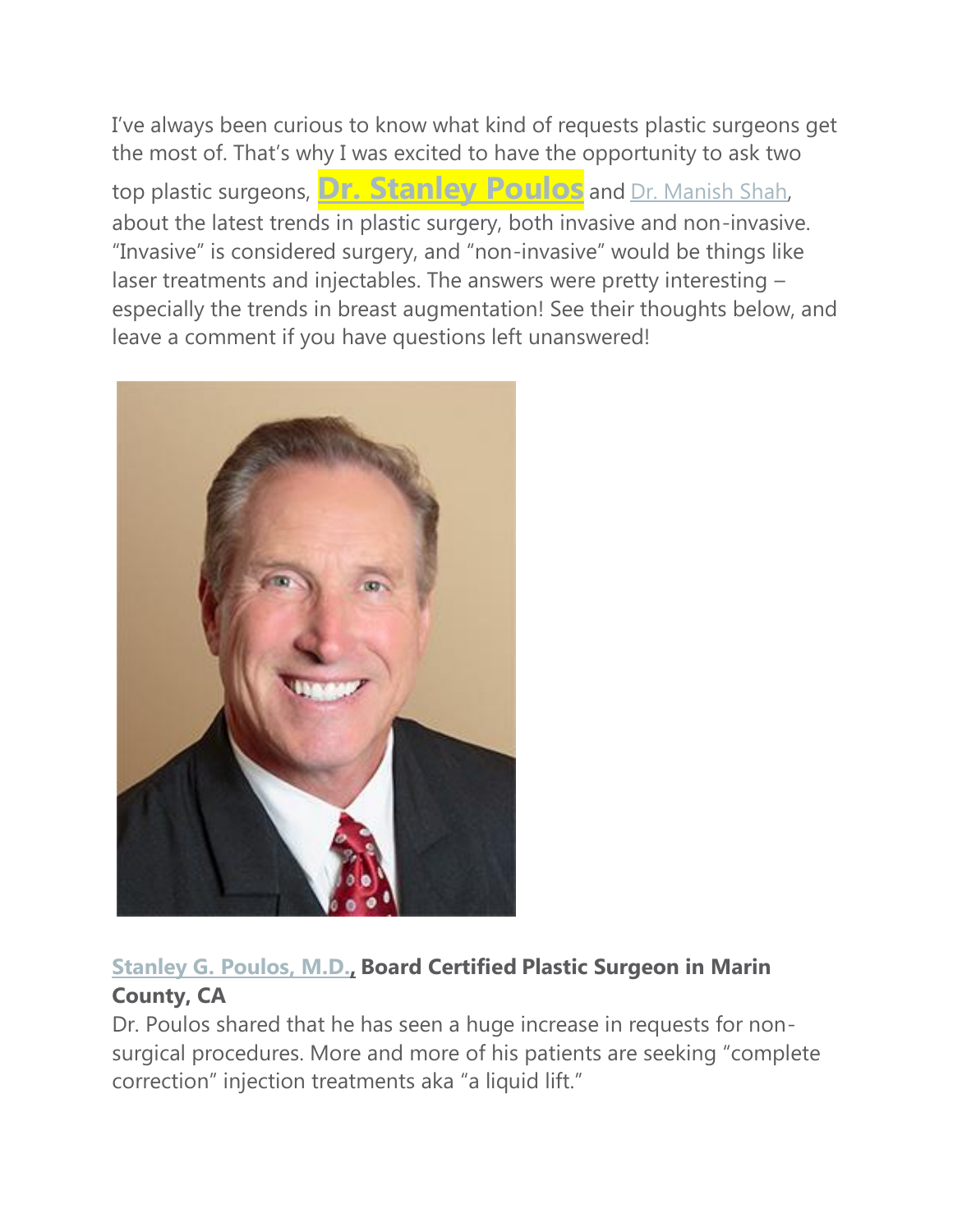I've always been curious to know what kind of requests plastic surgeons get the most of. That's why I was excited to have the opportunity to ask two top plastic surgeons, **Dr. [Stanley](https://www.psspecialists.com/about/dr-poulos/) Poulos** and Dr. [Manish](https://drmanishshah.com/) Shah, about the latest trends in plastic surgery, both invasive and non-invasive. "Invasive" is considered surgery, and "non-invasive" would be things like laser treatments and injectables. The answers were pretty interesting – especially the trends in breast augmentation! See their thoughts below, and leave a comment if you have questions left unanswered!



## **[Stanley](https://www.psspecialists.com/about/dr-poulos/) G. Poulos, M.D., Board Certified Plastic Surgeon in Marin County, CA**

Dr. Poulos shared that he has seen a huge increase in requests for nonsurgical procedures. More and more of his patients are seeking "complete correction" injection treatments aka "a liquid lift."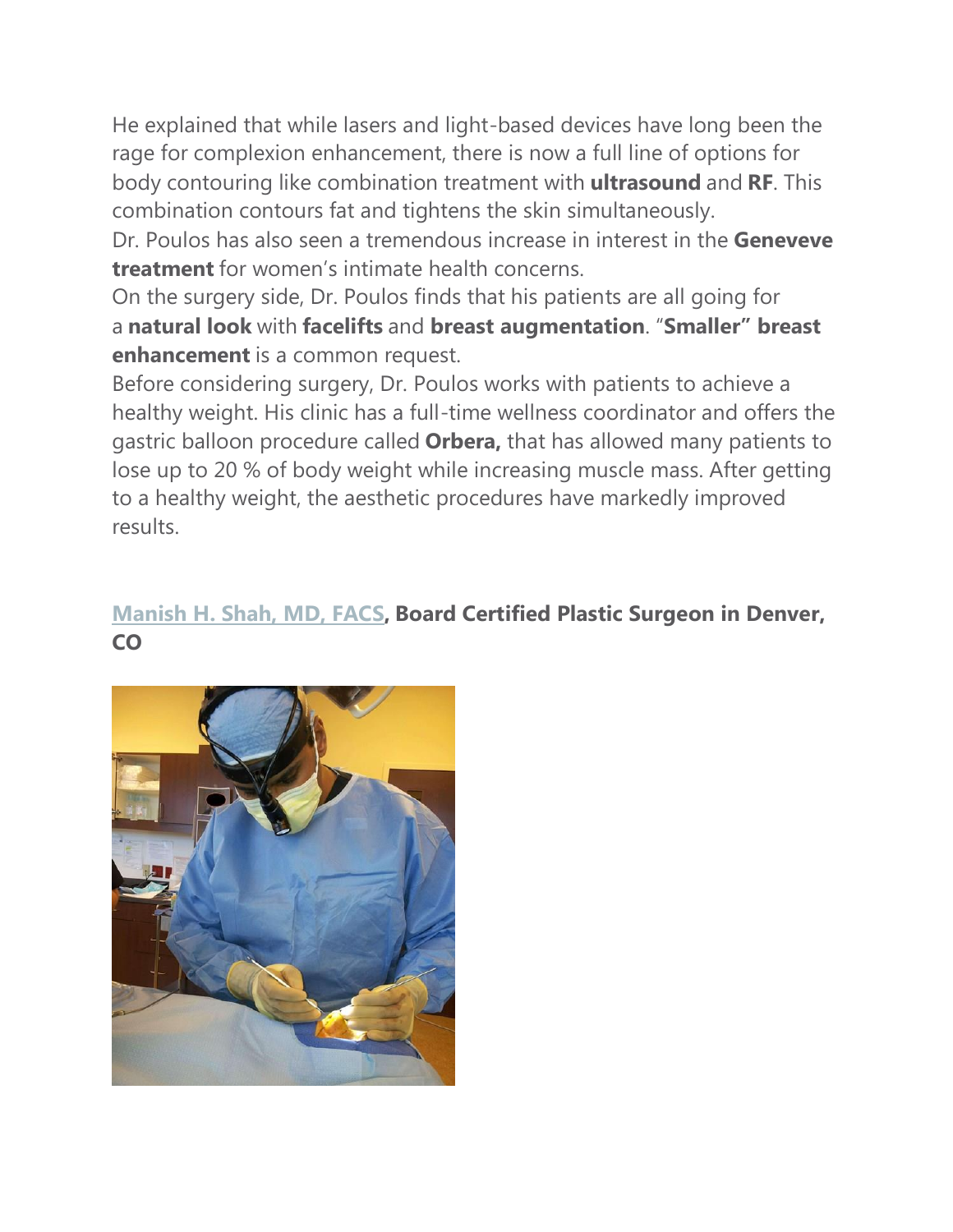He explained that while lasers and light-based devices have long been the rage for complexion enhancement, there is now a full line of options for body contouring like combination treatment with **ultrasound** and **RF**. This combination contours fat and tightens the skin simultaneously.

Dr. Poulos has also seen a tremendous increase in interest in the **Geneveve treatment** for women's intimate health concerns.

On the surgery side, Dr. Poulos finds that his patients are all going for a **natural look** with **facelifts** and **breast augmentation**. "**Smaller" breast enhancement** is a common request.

Before considering surgery, Dr. Poulos works with patients to achieve a healthy weight. His clinic has a full-time wellness coordinator and offers the gastric balloon procedure called **Orbera,** that has allowed many patients to lose up to 20 % of body weight while increasing muscle mass. After getting to a healthy weight, the aesthetic procedures have markedly improved results.

## **[Manish](https://drmanishshah.com/) H. Shah, MD, FACS, Board Certified Plastic Surgeon in Denver, CO**